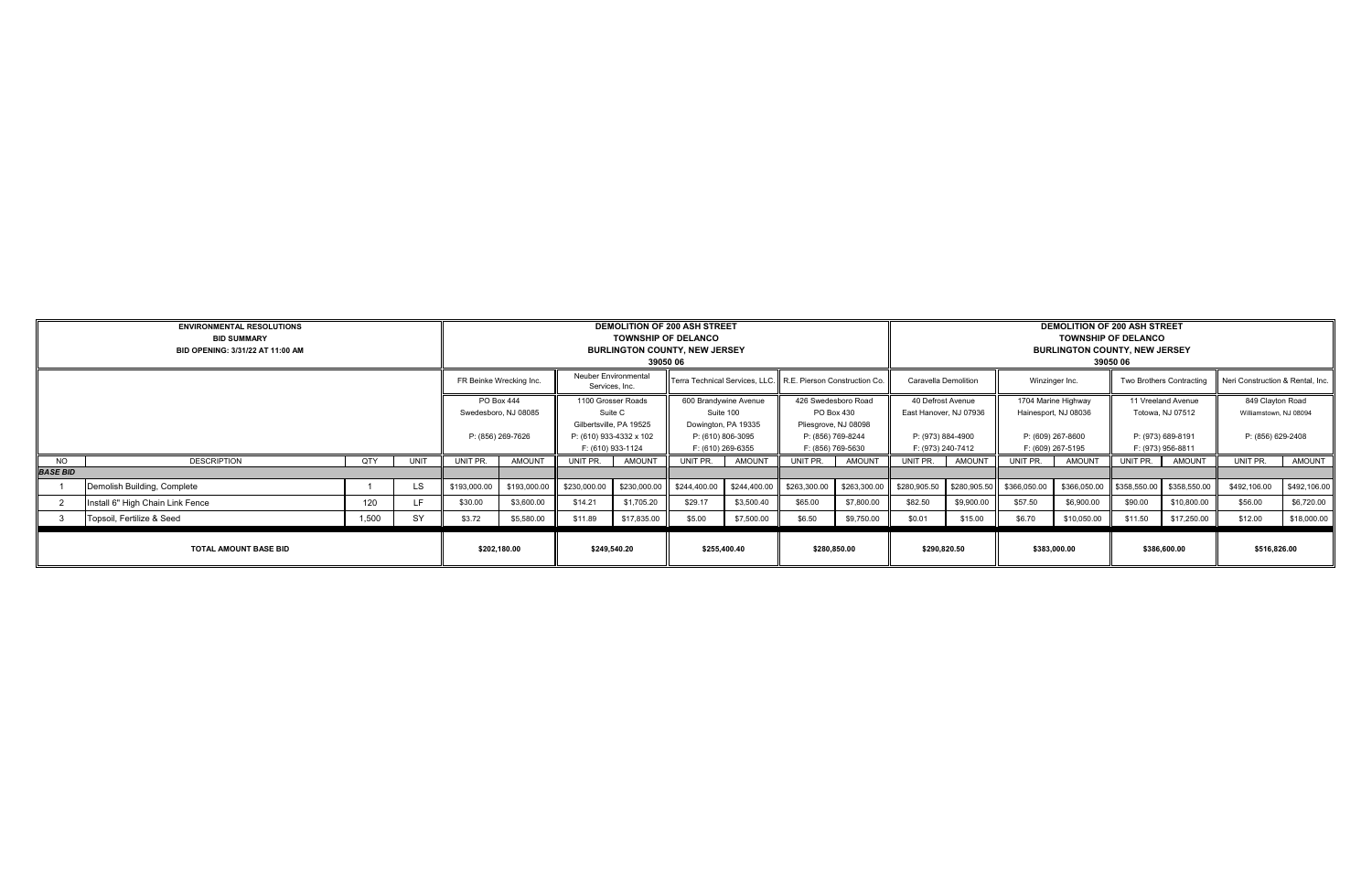|                              | <b>ENVIRONMENTAL RESOLUTIONS</b><br><b>BID SUMMARY</b><br>BID OPENING: 3/31/22 AT 11:00 AM |       |                   |              | <b>TOWNSHIP OF DELANCO</b><br>39050 06                                  | <b>DEMOLITION OF 200 ASH STREET</b><br><b>BURLINGTON COUNTY, NEW JERSEY</b> |                                                               |                                                                | <b>DEMOLITION OF 200 ASH STREET</b><br><b>TOWNSHIP OF DELANCO</b><br><b>BURLINGTON COUNTY, NEW JERSEY</b><br>39050 06 |              |                                        |                      |                                             |                |                                             |                          |                                        |                                  |                                            |
|------------------------------|--------------------------------------------------------------------------------------------|-------|-------------------|--------------|-------------------------------------------------------------------------|-----------------------------------------------------------------------------|---------------------------------------------------------------|----------------------------------------------------------------|-----------------------------------------------------------------------------------------------------------------------|--------------|----------------------------------------|----------------------|---------------------------------------------|----------------|---------------------------------------------|--------------------------|----------------------------------------|----------------------------------|--------------------------------------------|
|                              |                                                                                            |       |                   |              | FR Beinke Wrecking Inc.                                                 | Neuber Environmental<br>Services, Inc.                                      |                                                               | Terra Technical Services, LLC.   R.E. Pierson Construction Co. |                                                                                                                       |              |                                        | Caravella Demolition |                                             | Winzinger Inc. |                                             | Two Brothers Contracting |                                        | Neri Construction & Rental, Inc. |                                            |
|                              |                                                                                            |       |                   |              | PO Box 444<br>Swedesboro, NJ 08085                                      |                                                                             | 1100 Grosser Roads<br>Suite C                                 |                                                                | 600 Brandywine Avenue<br>Suite 100                                                                                    |              | 426 Swedesboro Road<br>PO Box 430      |                      | 40 Defrost Avenue<br>East Hanover, NJ 07936 |                | 1704 Marine Highway<br>Hainesport, NJ 08036 |                          | 11 Vreeland Avenue<br>Totowa, NJ 07512 |                                  | 849 Clayton Road<br>Williamstown, NJ 08094 |
|                              |                                                                                            |       | P: (856) 269-7626 |              | Gilbertsville, PA 19525<br>P: (610) 933-4332 x 102<br>F: (610) 933-1124 |                                                                             | Dowington, PA 19335<br>P: (610) 806-3095<br>F: (610) 269-6355 |                                                                | Pliesgrove, NJ 08098<br>P: (856) 769-8244<br>F: (856) 769-5630                                                        |              | P: (973) 884-4900<br>F: (973) 240-7412 |                      | P: (609) 267-8600<br>F: (609) 267-5195      |                | P: (973) 689-8191<br>F: (973) 956-8811      |                          | P: (856) 629-2408                      |                                  |                                            |
| NO.                          | <b>DESCRIPTION</b>                                                                         | QTY   | UNIT              | UNIT PR.     | <b>AMOUNT</b>                                                           | UNIT PR.                                                                    | <b>AMOUNT</b>                                                 | UNIT PR.                                                       | AMOUNT                                                                                                                | UNIT PR.     | AMOUNT                                 | UNIT PR.             | AMOUNT                                      | UNIT PR.       | AMOUNT                                      | UNIT PR.                 | AMOUNT                                 | UNIT PR.                         | AMOUNT                                     |
| <b>BASE BID</b>              |                                                                                            |       |                   |              |                                                                         |                                                                             |                                                               |                                                                |                                                                                                                       |              |                                        |                      |                                             |                |                                             |                          |                                        |                                  |                                            |
|                              | Demolish Building, Complete                                                                |       | LS.               | \$193,000.00 | \$193,000.00                                                            | \$230,000.00                                                                | \$230,000.00                                                  | \$244,400.00                                                   | \$244,400.00                                                                                                          | \$263,300.00 | \$263,300.00                           | \$280,905.50         | \$280,905.50                                | \$366,050.00   | \$366,050.00                                | \$358,550.00             | \$358,550.00                           | \$492,106.00                     | \$492,106.00                               |
|                              | Install 6" High Chain Link Fence                                                           | 120   | LE.               | \$30.00      | \$3,600.00                                                              | \$14.21                                                                     | \$1,705.20                                                    | \$29.17                                                        | \$3,500.40                                                                                                            | \$65.00      | \$7,800.00                             | \$82.50              | \$9,900.00                                  | \$57.50        | \$6,900.00                                  | \$90.00                  | \$10,800.00                            | \$56.00                          | \$6,720.00                                 |
|                              | Topsoil, Fertilize & Seed                                                                  | 1,500 | <b>SY</b>         | \$3.72       | \$5,580.00                                                              | \$11.89                                                                     | \$17,835.00                                                   | \$5.00                                                         | \$7,500.00                                                                                                            | \$6.50       | \$9,750.00                             | \$0.01               | \$15.00                                     | \$6.70         | \$10,050.00                                 | \$11.50                  | \$17,250.00                            | \$12.00                          | \$18,000.00                                |
| <b>TOTAL AMOUNT BASE BID</b> |                                                                                            |       |                   | \$202,180.00 |                                                                         | \$249,540.20                                                                |                                                               | \$255,400.40                                                   |                                                                                                                       | \$280,850.00 |                                        | \$290,820.50         |                                             | \$383,000.00   |                                             | \$386,600.00             |                                        | \$516,826.00                     |                                            |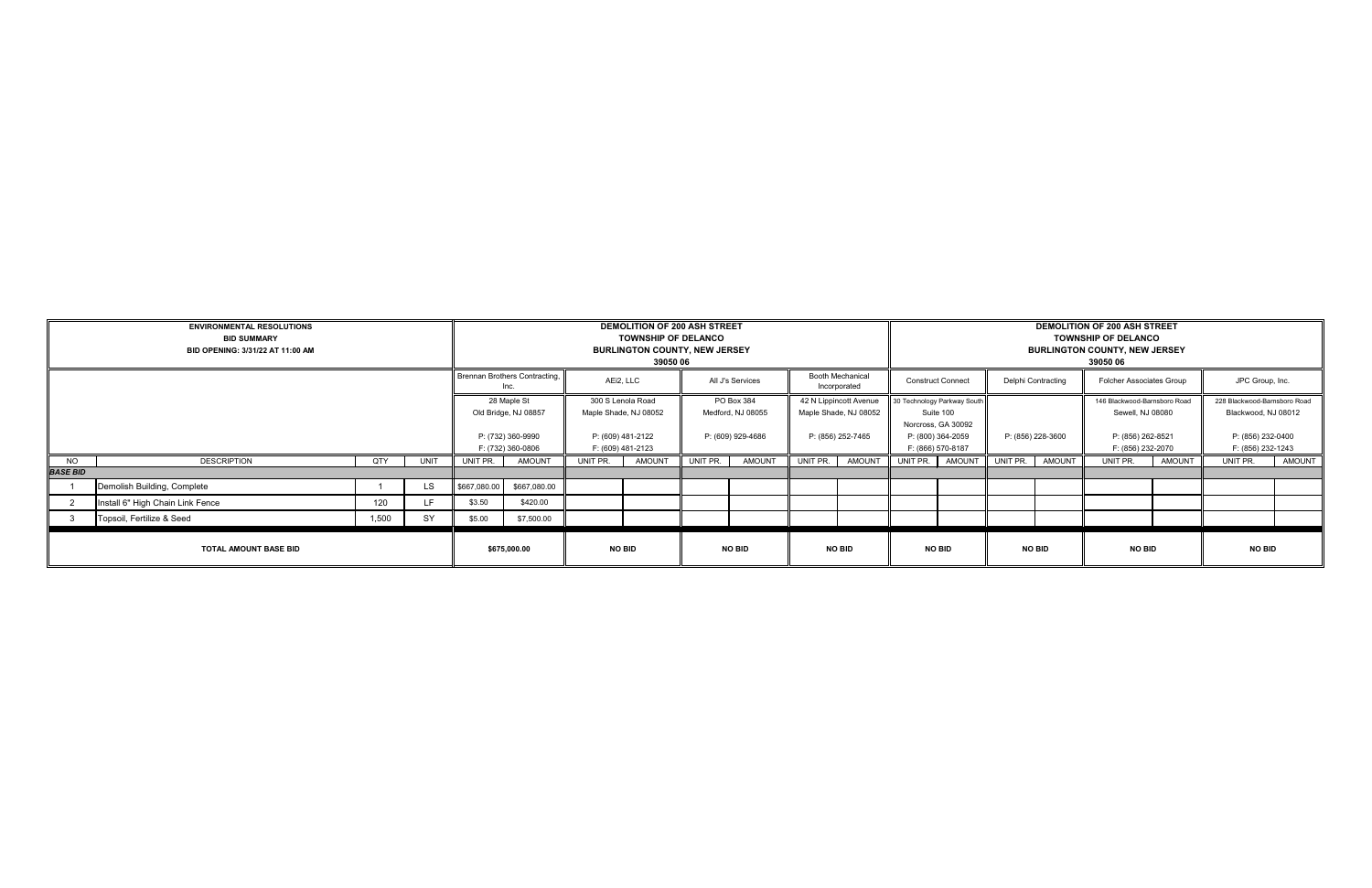|                                          | <b>ENVIRONMENTAL RESOLUTIONS</b><br><b>BID SUMMARY</b><br>BID OPENING: 3/31/22 AT 11:00 AM |                                       |           | <b>DEMOLITION OF 200 ASH STREET</b><br><b>TOWNSHIP OF DELANCO</b><br><b>BURLINGTON COUNTY, NEW JERSEY</b><br>39050 06 |                                     |                                        |                                            |                                         | <b>DEMOLITION OF 200 ASH STREET</b><br><b>TOWNSHIP OF DELANCO</b><br><b>BURLINGTON COUNTY, NEW JERSEY</b><br>39050 06 |                          |                                                 |                                        |                                                                |                          |               |                                                  |               |                                                     |               |
|------------------------------------------|--------------------------------------------------------------------------------------------|---------------------------------------|-----------|-----------------------------------------------------------------------------------------------------------------------|-------------------------------------|----------------------------------------|--------------------------------------------|-----------------------------------------|-----------------------------------------------------------------------------------------------------------------------|--------------------------|-------------------------------------------------|----------------------------------------|----------------------------------------------------------------|--------------------------|---------------|--------------------------------------------------|---------------|-----------------------------------------------------|---------------|
|                                          |                                                                                            | Brennan Brothers Contracting,<br>Inc. |           | AEi2, LLC                                                                                                             |                                     | All J's Services                       |                                            | <b>Booth Mechanical</b><br>Incorporated |                                                                                                                       | <b>Construct Connect</b> |                                                 | Delphi Contracting                     |                                                                | Folcher Associates Group |               | JPC Group, Inc.                                  |               |                                                     |               |
|                                          |                                                                                            |                                       |           |                                                                                                                       | 28 Maple St<br>Old Bridge, NJ 08857 |                                        | 300 S Lenola Road<br>Maple Shade, NJ 08052 |                                         | PO Box 384<br>Medford, NJ 08055                                                                                       |                          | 42 N Lippincott Avenue<br>Maple Shade, NJ 08052 |                                        | 30 Technology Parkway South<br>Suite 100<br>Norcross, GA 30092 |                          |               | 146 Blackwood-Barnsboro Road<br>Sewell, NJ 08080 |               | 228 Blackwood-Barnsboro Road<br>Blackwood, NJ 08012 |               |
|                                          |                                                                                            |                                       |           | P: (732) 360-9990<br>F: (732) 360-0806                                                                                |                                     | P: (609) 481-2122<br>F: (609) 481-2123 |                                            | P: (609) 929-4686                       |                                                                                                                       | P: (856) 252-7465        |                                                 | P: (800) 364-2059<br>F: (866) 570-8187 |                                                                | P: (856) 228-3600        |               | P: (856) 262-8521<br>F: (856) 232-2070           |               | P: (856) 232-0400<br>F: (856) 232-1243              |               |
| NO.                                      | DESCRIPTION                                                                                | QTY                                   | UNIT      | UNIT PR.                                                                                                              | <b>AMOUNT</b><br>UNIT PR.           |                                        | AMOUNT                                     | UNIT PR.                                | AMOUNT                                                                                                                | UNIT PR.                 | AMOUNT                                          | UNIT PR.                               | AMOUNT                                                         | UNIT PR.                 | AMOUNT        | UNIT PR.                                         | <b>AMOUNT</b> | UNIT PR.                                            | <b>AMOUNT</b> |
| <b>BASE BID</b>                          |                                                                                            |                                       |           |                                                                                                                       |                                     |                                        |                                            |                                         |                                                                                                                       |                          |                                                 |                                        |                                                                |                          |               |                                                  |               |                                                     |               |
|                                          | Demolish Building, Complete                                                                |                                       | <b>LS</b> | \$667,080.00                                                                                                          | \$667,080.00                        |                                        |                                            |                                         |                                                                                                                       |                          |                                                 |                                        |                                                                |                          |               |                                                  |               |                                                     |               |
|                                          | Install 6" High Chain Link Fence                                                           | 120                                   | LF.       | \$3.50                                                                                                                | \$420.00                            |                                        |                                            |                                         |                                                                                                                       |                          |                                                 |                                        |                                                                |                          |               |                                                  |               |                                                     |               |
| SY<br>Topsoil, Fertilize & Seed<br>1,500 |                                                                                            |                                       | \$5.00    | \$7,500.00                                                                                                            |                                     |                                        |                                            |                                         |                                                                                                                       |                          |                                                 |                                        |                                                                |                          |               |                                                  |               |                                                     |               |
| <b>TOTAL AMOUNT BASE BID</b>             |                                                                                            |                                       |           |                                                                                                                       | \$675,000.00                        |                                        | <b>NO BID</b>                              |                                         | <b>NO BID</b>                                                                                                         |                          | <b>NO BID</b>                                   |                                        | <b>NO BID</b>                                                  |                          | <b>NO BID</b> | <b>NO BID</b>                                    |               | <b>NO BID</b>                                       |               |